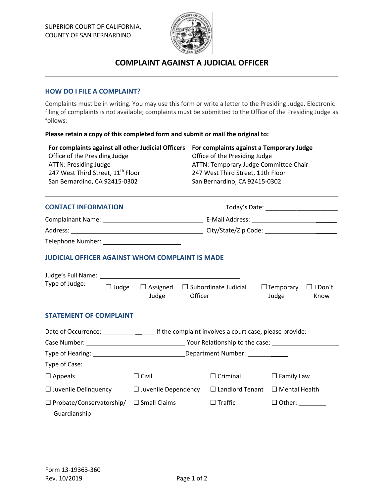

# **COMPLAINT AGAINST A JUDICIAL OFFICER**

# **HOW DO I FILE A COMPLAINT?**

Complaints must be in writing. You may use this form or write a letter to the Presiding Judge. Electronic filing of complaints is not available; complaints must be submitted to the Office of the Presiding Judge as follows:

### **Please retain a copy of this completed form and submit or mail the original to:**

| For complaints against all other Judicial Officers<br>Office of the Presiding Judge<br><b>ATTN: Presiding Judge</b><br>247 West Third Street, 11 <sup>th</sup> Floor<br>San Bernardino, CA 92415-0302<br><b>CONTACT INFORMATION</b> |                            | For complaints against a Temporary Judge<br>Office of the Presiding Judge<br>ATTN: Temporary Judge Committee Chair<br>247 West Third Street, 11th Floor<br>San Bernardino, CA 92415-0302<br>Today's Date: National Contract of the Contract of Today's Date: |                                                  |  |                                                        |  |  |  |  |
|-------------------------------------------------------------------------------------------------------------------------------------------------------------------------------------------------------------------------------------|----------------------------|--------------------------------------------------------------------------------------------------------------------------------------------------------------------------------------------------------------------------------------------------------------|--------------------------------------------------|--|--------------------------------------------------------|--|--|--|--|
|                                                                                                                                                                                                                                     |                            |                                                                                                                                                                                                                                                              |                                                  |  |                                                        |  |  |  |  |
|                                                                                                                                                                                                                                     |                            |                                                                                                                                                                                                                                                              |                                                  |  |                                                        |  |  |  |  |
|                                                                                                                                                                                                                                     |                            |                                                                                                                                                                                                                                                              |                                                  |  | Telephone Number: Telephone Number:                    |  |  |  |  |
|                                                                                                                                                                                                                                     |                            |                                                                                                                                                                                                                                                              |                                                  |  | <b>JUDICIAL OFFICER AGAINST WHOM COMPLAINT IS MADE</b> |  |  |  |  |
|                                                                                                                                                                                                                                     |                            |                                                                                                                                                                                                                                                              |                                                  |  |                                                        |  |  |  |  |
| Type of Judge:<br>$\Box$ Judge                                                                                                                                                                                                      | Judge                      | $\Box$ Assigned $\Box$ Subordinate Judicial<br>Officer                                                                                                                                                                                                       | $\Box$ Temporary $\Box$ I Don't<br>Judge<br>Know |  |                                                        |  |  |  |  |
| <b>STATEMENT OF COMPLAINT</b>                                                                                                                                                                                                       |                            |                                                                                                                                                                                                                                                              |                                                  |  |                                                        |  |  |  |  |
|                                                                                                                                                                                                                                     |                            |                                                                                                                                                                                                                                                              |                                                  |  |                                                        |  |  |  |  |
|                                                                                                                                                                                                                                     |                            |                                                                                                                                                                                                                                                              |                                                  |  |                                                        |  |  |  |  |
| Type of Hearing: 1990 and 2000 and 2000 and 2000 and 2000 and 2000 and 2000 and 2000 and 2000 and 2000 and 200                                                                                                                      |                            |                                                                                                                                                                                                                                                              |                                                  |  |                                                        |  |  |  |  |
| Type of Case:                                                                                                                                                                                                                       |                            |                                                                                                                                                                                                                                                              |                                                  |  |                                                        |  |  |  |  |
| $\Box$ Appeals                                                                                                                                                                                                                      | $\Box$ Civil               | $\Box$ Criminal                                                                                                                                                                                                                                              | $\Box$ Family Law                                |  |                                                        |  |  |  |  |
| $\Box$ Juvenile Delinquency                                                                                                                                                                                                         | $\Box$ Juvenile Dependency | $\Box$ Landlord Tenant                                                                                                                                                                                                                                       | $\Box$ Mental Health                             |  |                                                        |  |  |  |  |
| $\Box$ Probate/Conservatorship/                                                                                                                                                                                                     | $\Box$ Small Claims        | $\Box$ Traffic                                                                                                                                                                                                                                               |                                                  |  |                                                        |  |  |  |  |
| Guardianship                                                                                                                                                                                                                        |                            |                                                                                                                                                                                                                                                              |                                                  |  |                                                        |  |  |  |  |